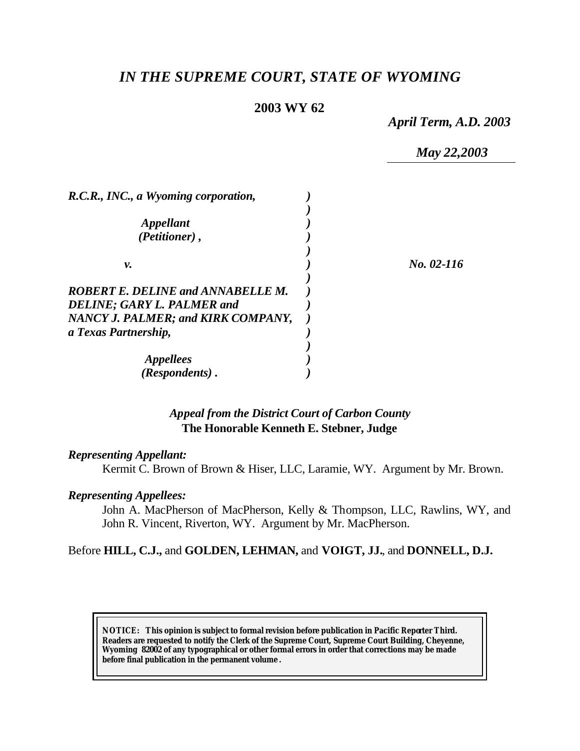# *IN THE SUPREME COURT, STATE OF WYOMING*

# **2003 WY 62**

*April Term, A.D. 2003*

*May 22,2003*

| R.C.R., INC., a Wyoming corporation,     |            |
|------------------------------------------|------------|
|                                          |            |
| <i><b>Appellant</b></i>                  |            |
| (Petitioner),                            |            |
|                                          |            |
| ν.                                       | No. 02-116 |
|                                          |            |
| <b>ROBERT E. DELINE and ANNABELLE M.</b> |            |
| <b>DELINE; GARY L. PALMER and</b>        |            |
| NANCY J. PALMER; and KIRK COMPANY,       |            |
| a Texas Partnership,                     |            |
|                                          |            |
| <i><b>Appellees</b></i>                  |            |
| (Respondents).                           |            |

# *Appeal from the District Court of Carbon County* **The Honorable Kenneth E. Stebner, Judge**

### *Representing Appellant:*

Kermit C. Brown of Brown & Hiser, LLC, Laramie, WY. Argument by Mr. Brown.

### *Representing Appellees:*

John A. MacPherson of MacPherson, Kelly & Thompson, LLC, Rawlins, WY, and John R. Vincent, Riverton, WY. Argument by Mr. MacPherson.

### Before **HILL, C.J.,** and **GOLDEN, LEHMAN,** and **VOIGT, JJ.**, and **DONNELL, D.J.**

**NOTICE:** *This opinion is subject to formal revision before publication in Pacific Reporter Third. Readers are requested to notify the Clerk of the Supreme Court, Supreme Court Building, Cheyenne, Wyoming 82002 of any typographical or other formal errors in order that corrections may be made before final publication in the permanent volume .*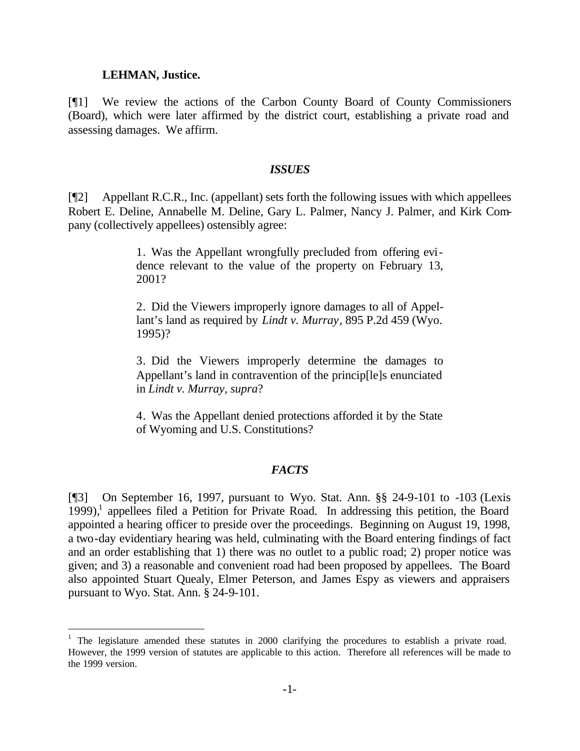#### **LEHMAN, Justice.**

l

[¶1] We review the actions of the Carbon County Board of County Commissioners (Board), which were later affirmed by the district court, establishing a private road and assessing damages. We affirm.

#### *ISSUES*

[¶2] Appellant R.C.R., Inc. (appellant) sets forth the following issues with which appellees Robert E. Deline, Annabelle M. Deline, Gary L. Palmer, Nancy J. Palmer, and Kirk Company (collectively appellees) ostensibly agree:

> 1. Was the Appellant wrongfully precluded from offering evidence relevant to the value of the property on February 13, 2001?

> 2. Did the Viewers improperly ignore damages to all of Appellant's land as required by *Lindt v. Murray*, 895 P.2d 459 (Wyo. 1995)?

> 3. Did the Viewers improperly determine the damages to Appellant's land in contravention of the princip[le]s enunciated in *Lindt v. Murray, supra*?

> 4. Was the Appellant denied protections afforded it by the State of Wyoming and U.S. Constitutions?

#### *FACTS*

[¶3] On September 16, 1997, pursuant to Wyo. Stat. Ann. §§ 24-9-101 to -103 (Lexis  $1999$ ),<sup>1</sup> appellees filed a Petition for Private Road. In addressing this petition, the Board appointed a hearing officer to preside over the proceedings. Beginning on August 19, 1998, a two-day evidentiary hearing was held, culminating with the Board entering findings of fact and an order establishing that 1) there was no outlet to a public road; 2) proper notice was given; and 3) a reasonable and convenient road had been proposed by appellees. The Board also appointed Stuart Quealy, Elmer Peterson, and James Espy as viewers and appraisers pursuant to Wyo. Stat. Ann. § 24-9-101.

<sup>&</sup>lt;sup>1</sup> The legislature amended these statutes in 2000 clarifying the procedures to establish a private road. However, the 1999 version of statutes are applicable to this action. Therefore all references will be made to the 1999 version.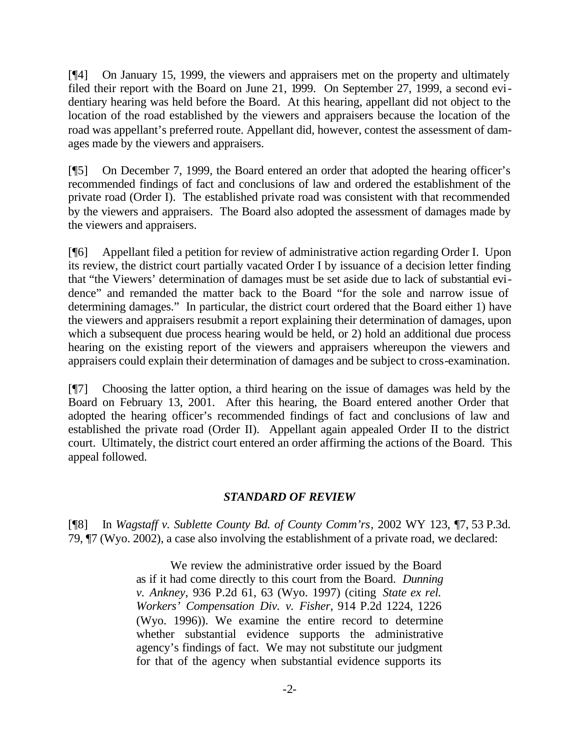[¶4] On January 15, 1999, the viewers and appraisers met on the property and ultimately filed their report with the Board on June 21, 1999. On September 27, 1999, a second evidentiary hearing was held before the Board. At this hearing, appellant did not object to the location of the road established by the viewers and appraisers because the location of the road was appellant's preferred route. Appellant did, however, contest the assessment of damages made by the viewers and appraisers.

[¶5] On December 7, 1999, the Board entered an order that adopted the hearing officer's recommended findings of fact and conclusions of law and ordered the establishment of the private road (Order I). The established private road was consistent with that recommended by the viewers and appraisers. The Board also adopted the assessment of damages made by the viewers and appraisers.

[¶6] Appellant filed a petition for review of administrative action regarding Order I. Upon its review, the district court partially vacated Order I by issuance of a decision letter finding that "the Viewers' determination of damages must be set aside due to lack of substantial evidence" and remanded the matter back to the Board "for the sole and narrow issue of determining damages." In particular, the district court ordered that the Board either 1) have the viewers and appraisers resubmit a report explaining their determination of damages, upon which a subsequent due process hearing would be held, or 2) hold an additional due process hearing on the existing report of the viewers and appraisers whereupon the viewers and appraisers could explain their determination of damages and be subject to cross-examination.

[¶7] Choosing the latter option, a third hearing on the issue of damages was held by the Board on February 13, 2001. After this hearing, the Board entered another Order that adopted the hearing officer's recommended findings of fact and conclusions of law and established the private road (Order II). Appellant again appealed Order II to the district court. Ultimately, the district court entered an order affirming the actions of the Board. This appeal followed.

## *STANDARD OF REVIEW*

[¶8] In *Wagstaff v. Sublette County Bd. of County Comm'rs*, 2002 WY 123, ¶7, 53 P.3d. 79, ¶7 (Wyo. 2002), a case also involving the establishment of a private road, we declared:

> We review the administrative order issued by the Board as if it had come directly to this court from the Board. *Dunning v. Ankney*, 936 P.2d 61, 63 (Wyo. 1997) (citing *State ex rel. Workers' Compensation Div. v. Fisher*, 914 P.2d 1224, 1226 (Wyo. 1996)). We examine the entire record to determine whether substantial evidence supports the administrative agency's findings of fact. We may not substitute our judgment for that of the agency when substantial evidence supports its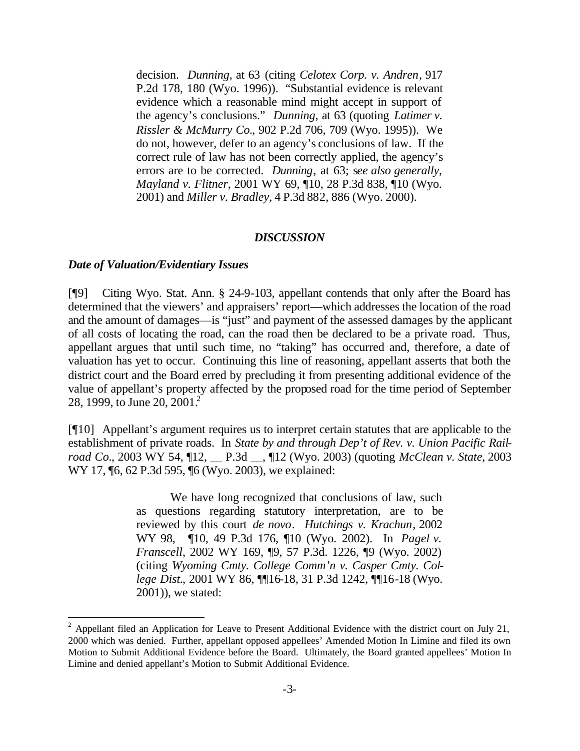decision. *Dunning*, at 63 (citing *Celotex Corp. v. Andren*, 917 P.2d 178, 180 (Wyo. 1996)). "Substantial evidence is relevant evidence which a reasonable mind might accept in support of the agency's conclusions." *Dunning*, at 63 (quoting *Latimer v. Rissler & McMurry Co.*, 902 P.2d 706, 709 (Wyo. 1995)). We do not, however, defer to an agency's conclusions of law. If the correct rule of law has not been correctly applied, the agency's errors are to be corrected. *Dunning*, at 63; s*ee also generally, Mayland v. Flitner*, 2001 WY 69, ¶10, 28 P.3d 838, ¶10 (Wyo. 2001) and *Miller v. Bradley*, 4 P.3d 882, 886 (Wyo. 2000).

#### *DISCUSSION*

#### *Date of Valuation/Evidentiary Issues*

l

[¶9] Citing Wyo. Stat. Ann. § 24-9-103, appellant contends that only after the Board has determined that the viewers' and appraisers' report—which addresses the location of the road and the amount of damages—is "just" and payment of the assessed damages by the applicant of all costs of locating the road, can the road then be declared to be a private road. Thus, appellant argues that until such time, no "taking" has occurred and, therefore, a date of valuation has yet to occur. Continuing this line of reasoning, appellant asserts that both the district court and the Board erred by precluding it from presenting additional evidence of the value of appellant's property affected by the proposed road for the time period of September 28, 1999, to June 20, 2001.

[¶10] Appellant's argument requires us to interpret certain statutes that are applicable to the establishment of private roads. In *State by and through Dep't of Rev. v. Union Pacific Railroad Co.*, 2003 WY 54, ¶12, \_\_ P.3d \_\_, ¶12 (Wyo. 2003) (quoting *McClean v. State*, 2003 WY 17, 16, 62 P.3d 595, 16 (Wyo. 2003), we explained:

> We have long recognized that conclusions of law, such as questions regarding statutory interpretation, are to be reviewed by this court *de novo*. *Hutchings v. Krachun*, 2002 WY 98, ¶10, 49 P.3d 176, ¶10 (Wyo. 2002). In *Pagel v. Franscell*, 2002 WY 169, ¶9, 57 P.3d. 1226, ¶9 (Wyo. 2002) (citing *Wyoming Cmty. College Comm'n v. Casper Cmty. College Dist.*, 2001 WY 86, ¶¶16-18, 31 P.3d 1242, ¶¶16-18 (Wyo. 2001)), we stated:

<sup>&</sup>lt;sup>2</sup> Appellant filed an Application for Leave to Present Additional Evidence with the district court on July 21, 2000 which was denied. Further, appellant opposed appellees' Amended Motion In Limine and filed its own Motion to Submit Additional Evidence before the Board. Ultimately, the Board granted appellees' Motion In Limine and denied appellant's Motion to Submit Additional Evidence.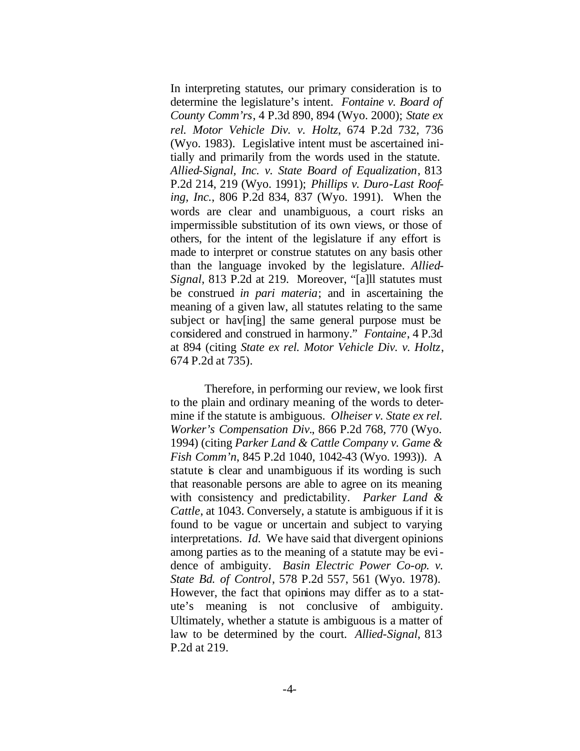In interpreting statutes, our primary consideration is to determine the legislature's intent. *Fontaine v. Board of County Comm'rs*, 4 P.3d 890, 894 (Wyo. 2000); *State ex rel. Motor Vehicle Div. v. Holtz*, 674 P.2d 732, 736 (Wyo. 1983). Legislative intent must be ascertained initially and primarily from the words used in the statute. *Allied-Signal, Inc. v. State Board of Equalization*, 813 P.2d 214, 219 (Wyo. 1991); *Phillips v. Duro-Last Roofing, Inc.*, 806 P.2d 834, 837 (Wyo. 1991). When the words are clear and unambiguous, a court risks an impermissible substitution of its own views, or those of others, for the intent of the legislature if any effort is made to interpret or construe statutes on any basis other than the language invoked by the legislature. *Allied-Signal*, 813 P.2d at 219. Moreover, "[a]ll statutes must be construed *in pari materia*; and in ascertaining the meaning of a given law, all statutes relating to the same subject or hav[ing] the same general purpose must be considered and construed in harmony." *Fontaine*, 4 P.3d at 894 (citing *State ex rel. Motor Vehicle Div. v. Holtz*, 674 P.2d at 735).

Therefore, in performing our review, we look first to the plain and ordinary meaning of the words to determine if the statute is ambiguous. *Olheiser v. State ex rel. Worker's Compensation Div.*, 866 P.2d 768, 770 (Wyo. 1994) (citing *Parker Land & Cattle Company v. Game & Fish Comm'n*, 845 P.2d 1040, 1042-43 (Wyo. 1993)). A statute is clear and unambiguous if its wording is such that reasonable persons are able to agree on its meaning with consistency and predictability. *Parker Land & Cattle*, at 1043. Conversely, a statute is ambiguous if it is found to be vague or uncertain and subject to varying interpretations. *Id.* We have said that divergent opinions among parties as to the meaning of a statute may be evidence of ambiguity. *Basin Electric Power Co-op. v. State Bd. of Control*, 578 P.2d 557, 561 (Wyo. 1978). However, the fact that opinions may differ as to a statute's meaning is not conclusive of ambiguity. Ultimately, whether a statute is ambiguous is a matter of law to be determined by the court. *Allied-Signal*, 813 P.2d at 219.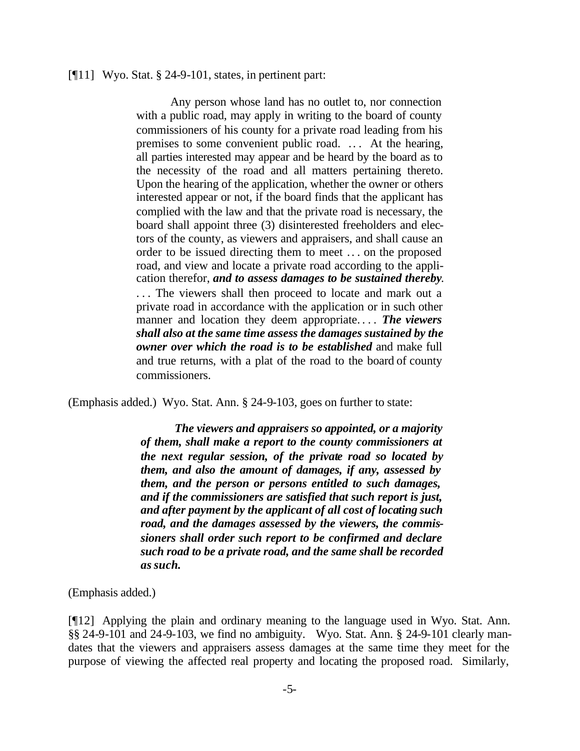#### [¶11] Wyo. Stat. § 24-9-101, states, in pertinent part:

Any person whose land has no outlet to, nor connection with a public road, may apply in writing to the board of county commissioners of his county for a private road leading from his premises to some convenient public road. .. . At the hearing, all parties interested may appear and be heard by the board as to the necessity of the road and all matters pertaining thereto. Upon the hearing of the application, whether the owner or others interested appear or not, if the board finds that the applicant has complied with the law and that the private road is necessary, the board shall appoint three (3) disinterested freeholders and electors of the county, as viewers and appraisers, and shall cause an order to be issued directing them to meet .. . on the proposed road, and view and locate a private road according to the application therefor, *and to assess damages to be sustained thereby*. ... The viewers shall then proceed to locate and mark out a private road in accordance with the application or in such other manner and location they deem appropriate. . . . *The viewers shall also at the same time assess the damages sustained by the owner over which the road is to be established* and make full and true returns, with a plat of the road to the board of county commissioners.

(Emphasis added.) Wyo. Stat. Ann. § 24-9-103, goes on further to state:

*The viewers and appraisers so appointed, or a majority of them, shall make a report to the county commissioners at the next regular session, of the private road so located by them, and also the amount of damages, if any, assessed by them, and the person or persons entitled to such damages, and if the commissioners are satisfied that such report is just, and after payment by the applicant of all cost of locating such road, and the damages assessed by the viewers, the commissioners shall order such report to be confirmed and declare such road to be a private road, and the same shall be recorded as such***.**

(Emphasis added.)

[¶12] Applying the plain and ordinary meaning to the language used in Wyo. Stat. Ann. §§ 24-9-101 and 24-9-103, we find no ambiguity. Wyo. Stat. Ann. § 24-9-101 clearly mandates that the viewers and appraisers assess damages at the same time they meet for the purpose of viewing the affected real property and locating the proposed road. Similarly,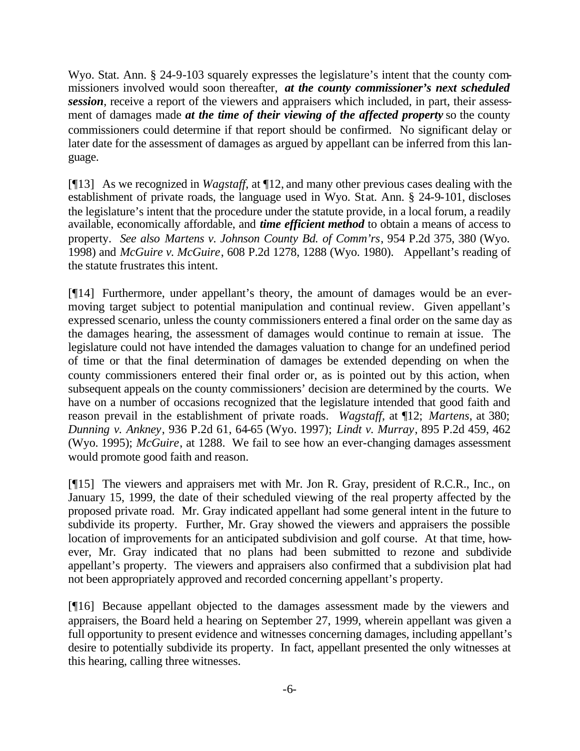Wyo. Stat. Ann. § 24-9-103 squarely expresses the legislature's intent that the county commissioners involved would soon thereafter, *at the county commissioner's next scheduled session*, receive a report of the viewers and appraisers which included, in part, their assessment of damages made *at the time of their viewing of the affected property* so the county commissioners could determine if that report should be confirmed. No significant delay or later date for the assessment of damages as argued by appellant can be inferred from this language.

[¶13] As we recognized in *Wagstaff*, at ¶12, and many other previous cases dealing with the establishment of private roads, the language used in Wyo. Stat. Ann. § 24-9-101, discloses the legislature's intent that the procedure under the statute provide, in a local forum, a readily available, economically affordable, and *time efficient method* to obtain a means of access to property. *See also Martens v. Johnson County Bd. of Comm'rs*, 954 P.2d 375, 380 (Wyo. 1998) and *McGuire v. McGuire*, 608 P.2d 1278, 1288 (Wyo. 1980). Appellant's reading of the statute frustrates this intent.

[¶14] Furthermore, under appellant's theory, the amount of damages would be an evermoving target subject to potential manipulation and continual review. Given appellant's expressed scenario, unless the county commissioners entered a final order on the same day as the damages hearing, the assessment of damages would continue to remain at issue. The legislature could not have intended the damages valuation to change for an undefined period of time or that the final determination of damages be extended depending on when the county commissioners entered their final order or, as is pointed out by this action, when subsequent appeals on the county commissioners' decision are determined by the courts. We have on a number of occasions recognized that the legislature intended that good faith and reason prevail in the establishment of private roads. *Wagstaff*, at ¶12; *Martens*, at 380; *Dunning v. Ankney*, 936 P.2d 61, 64-65 (Wyo. 1997); *Lindt v. Murray*, 895 P.2d 459, 462 (Wyo. 1995); *McGuire*, at 1288. We fail to see how an ever-changing damages assessment would promote good faith and reason.

[¶15] The viewers and appraisers met with Mr. Jon R. Gray, president of R.C.R., Inc., on January 15, 1999, the date of their scheduled viewing of the real property affected by the proposed private road. Mr. Gray indicated appellant had some general intent in the future to subdivide its property. Further, Mr. Gray showed the viewers and appraisers the possible location of improvements for an anticipated subdivision and golf course. At that time, however, Mr. Gray indicated that no plans had been submitted to rezone and subdivide appellant's property. The viewers and appraisers also confirmed that a subdivision plat had not been appropriately approved and recorded concerning appellant's property.

[¶16] Because appellant objected to the damages assessment made by the viewers and appraisers, the Board held a hearing on September 27, 1999, wherein appellant was given a full opportunity to present evidence and witnesses concerning damages, including appellant's desire to potentially subdivide its property. In fact, appellant presented the only witnesses at this hearing, calling three witnesses.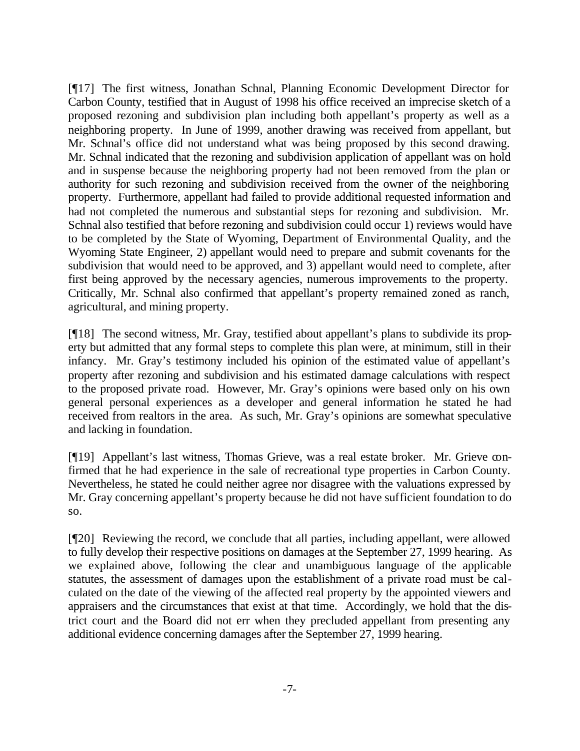[¶17] The first witness, Jonathan Schnal, Planning Economic Development Director for Carbon County, testified that in August of 1998 his office received an imprecise sketch of a proposed rezoning and subdivision plan including both appellant's property as well as a neighboring property. In June of 1999, another drawing was received from appellant, but Mr. Schnal's office did not understand what was being proposed by this second drawing. Mr. Schnal indicated that the rezoning and subdivision application of appellant was on hold and in suspense because the neighboring property had not been removed from the plan or authority for such rezoning and subdivision received from the owner of the neighboring property. Furthermore, appellant had failed to provide additional requested information and had not completed the numerous and substantial steps for rezoning and subdivision. Mr. Schnal also testified that before rezoning and subdivision could occur 1) reviews would have to be completed by the State of Wyoming, Department of Environmental Quality, and the Wyoming State Engineer, 2) appellant would need to prepare and submit covenants for the subdivision that would need to be approved, and 3) appellant would need to complete, after first being approved by the necessary agencies, numerous improvements to the property. Critically, Mr. Schnal also confirmed that appellant's property remained zoned as ranch, agricultural, and mining property.

[¶18] The second witness, Mr. Gray, testified about appellant's plans to subdivide its property but admitted that any formal steps to complete this plan were, at minimum, still in their infancy. Mr. Gray's testimony included his opinion of the estimated value of appellant's property after rezoning and subdivision and his estimated damage calculations with respect to the proposed private road. However, Mr. Gray's opinions were based only on his own general personal experiences as a developer and general information he stated he had received from realtors in the area. As such, Mr. Gray's opinions are somewhat speculative and lacking in foundation.

[¶19] Appellant's last witness, Thomas Grieve, was a real estate broker. Mr. Grieve confirmed that he had experience in the sale of recreational type properties in Carbon County. Nevertheless, he stated he could neither agree nor disagree with the valuations expressed by Mr. Gray concerning appellant's property because he did not have sufficient foundation to do so.

[¶20] Reviewing the record, we conclude that all parties, including appellant, were allowed to fully develop their respective positions on damages at the September 27, 1999 hearing. As we explained above, following the clear and unambiguous language of the applicable statutes, the assessment of damages upon the establishment of a private road must be calculated on the date of the viewing of the affected real property by the appointed viewers and appraisers and the circumstances that exist at that time. Accordingly, we hold that the district court and the Board did not err when they precluded appellant from presenting any additional evidence concerning damages after the September 27, 1999 hearing.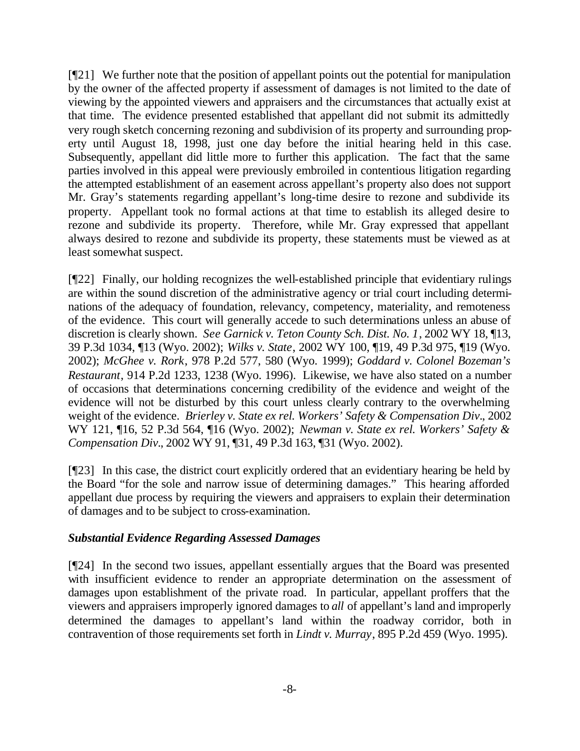[¶21] We further note that the position of appellant points out the potential for manipulation by the owner of the affected property if assessment of damages is not limited to the date of viewing by the appointed viewers and appraisers and the circumstances that actually exist at that time. The evidence presented established that appellant did not submit its admittedly very rough sketch concerning rezoning and subdivision of its property and surrounding property until August 18, 1998, just one day before the initial hearing held in this case. Subsequently, appellant did little more to further this application. The fact that the same parties involved in this appeal were previously embroiled in contentious litigation regarding the attempted establishment of an easement across appellant's property also does not support Mr. Gray's statements regarding appellant's long-time desire to rezone and subdivide its property. Appellant took no formal actions at that time to establish its alleged desire to rezone and subdivide its property. Therefore, while Mr. Gray expressed that appellant always desired to rezone and subdivide its property, these statements must be viewed as at least somewhat suspect.

[¶22] Finally, our holding recognizes the well-established principle that evidentiary rulings are within the sound discretion of the administrative agency or trial court including determinations of the adequacy of foundation, relevancy, competency, materiality, and remoteness of the evidence. This court will generally accede to such determinations unless an abuse of discretion is clearly shown. *See Garnick v. Teton County Sch. Dist. No. 1*, 2002 WY 18, ¶13, 39 P.3d 1034, ¶13 (Wyo. 2002); *Wilks v. State*, 2002 WY 100, ¶19, 49 P.3d 975, ¶19 (Wyo. 2002); *McGhee v. Rork*, 978 P.2d 577, 580 (Wyo. 1999); *Goddard v. Colonel Bozeman's Restaurant*, 914 P.2d 1233, 1238 (Wyo. 1996). Likewise, we have also stated on a number of occasions that determinations concerning credibility of the evidence and weight of the evidence will not be disturbed by this court unless clearly contrary to the overwhelming weight of the evidence. *Brierley v. State ex rel. Workers' Safety & Compensation Div.*, 2002 WY 121, ¶16, 52 P.3d 564, ¶16 (Wyo. 2002); *Newman v. State ex rel. Workers' Safety & Compensation Div.*, 2002 WY 91, ¶31, 49 P.3d 163, ¶31 (Wyo. 2002).

[¶23] In this case, the district court explicitly ordered that an evidentiary hearing be held by the Board "for the sole and narrow issue of determining damages." This hearing afforded appellant due process by requiring the viewers and appraisers to explain their determination of damages and to be subject to cross-examination.

# *Substantial Evidence Regarding Assessed Damages*

[¶24] In the second two issues, appellant essentially argues that the Board was presented with insufficient evidence to render an appropriate determination on the assessment of damages upon establishment of the private road. In particular, appellant proffers that the viewers and appraisers improperly ignored damages to *all* of appellant's land and improperly determined the damages to appellant's land within the roadway corridor, both in contravention of those requirements set forth in *Lindt v. Murray*, 895 P.2d 459 (Wyo. 1995).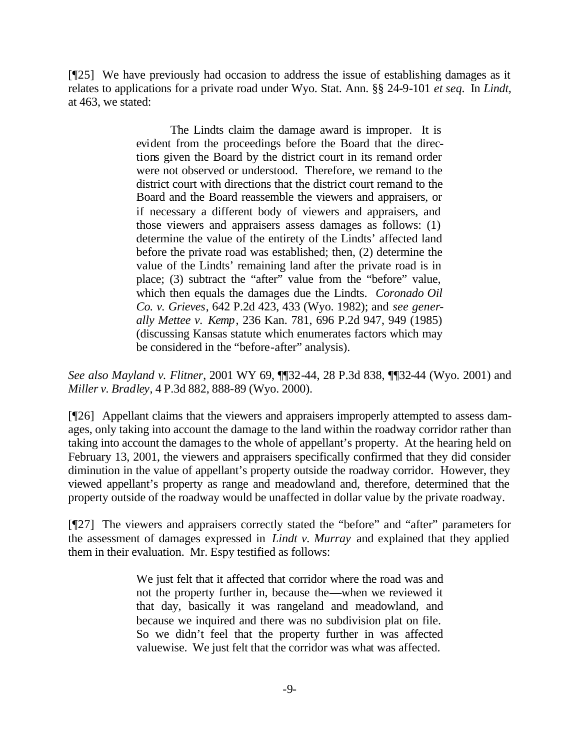[¶25] We have previously had occasion to address the issue of establishing damages as it relates to applications for a private road under Wyo. Stat. Ann. §§ 24-9-101 *et seq.* In *Lindt,*  at 463, we stated:

> The Lindts claim the damage award is improper. It is evident from the proceedings before the Board that the directions given the Board by the district court in its remand order were not observed or understood. Therefore, we remand to the district court with directions that the district court remand to the Board and the Board reassemble the viewers and appraisers, or if necessary a different body of viewers and appraisers, and those viewers and appraisers assess damages as follows: (1) determine the value of the entirety of the Lindts' affected land before the private road was established; then, (2) determine the value of the Lindts' remaining land after the private road is in place; (3) subtract the "after" value from the "before" value, which then equals the damages due the Lindts. *Coronado Oil Co. v. Grieves*, 642 P.2d 423, 433 (Wyo. 1982); and *see generally Mettee v. Kemp*, 236 Kan. 781, 696 P.2d 947, 949 (1985) (discussing Kansas statute which enumerates factors which may be considered in the "before-after" analysis).

*See also Mayland v. Flitner*, 2001 WY 69, ¶¶32-44, 28 P.3d 838, ¶¶32-44 (Wyo. 2001) and *Miller v. Bradley*, 4 P.3d 882, 888-89 (Wyo. 2000).

[¶26] Appellant claims that the viewers and appraisers improperly attempted to assess damages, only taking into account the damage to the land within the roadway corridor rather than taking into account the damages to the whole of appellant's property. At the hearing held on February 13, 2001, the viewers and appraisers specifically confirmed that they did consider diminution in the value of appellant's property outside the roadway corridor. However, they viewed appellant's property as range and meadowland and, therefore, determined that the property outside of the roadway would be unaffected in dollar value by the private roadway.

[¶27] The viewers and appraisers correctly stated the "before" and "after" parameters for the assessment of damages expressed in *Lindt v. Murray* and explained that they applied them in their evaluation. Mr. Espy testified as follows:

> We just felt that it affected that corridor where the road was and not the property further in, because the—when we reviewed it that day, basically it was rangeland and meadowland, and because we inquired and there was no subdivision plat on file. So we didn't feel that the property further in was affected valuewise. We just felt that the corridor was what was affected.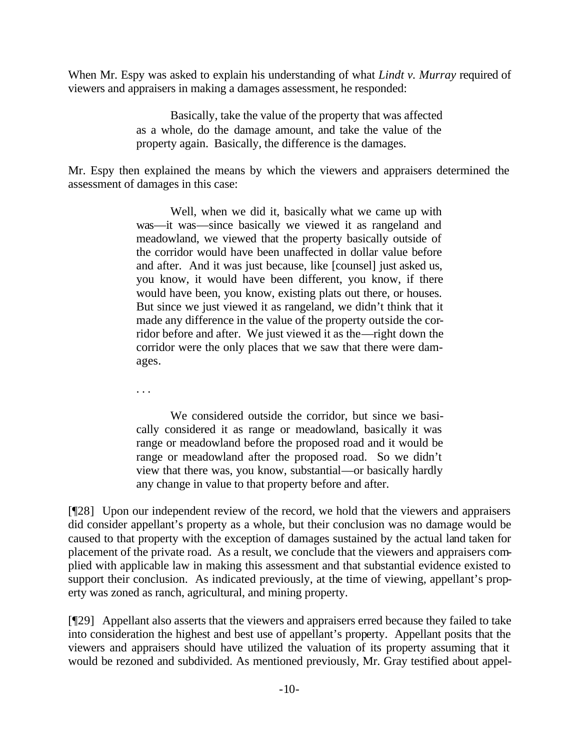When Mr. Espy was asked to explain his understanding of what *Lindt v. Murray* required of viewers and appraisers in making a damages assessment, he responded:

> Basically, take the value of the property that was affected as a whole, do the damage amount, and take the value of the property again. Basically, the difference is the damages.

Mr. Espy then explained the means by which the viewers and appraisers determined the assessment of damages in this case:

> Well, when we did it, basically what we came up with was—it was—since basically we viewed it as rangeland and meadowland, we viewed that the property basically outside of the corridor would have been unaffected in dollar value before and after. And it was just because, like [counsel] just asked us, you know, it would have been different, you know, if there would have been, you know, existing plats out there, or houses. But since we just viewed it as rangeland, we didn't think that it made any difference in the value of the property outside the corridor before and after. We just viewed it as the—right down the corridor were the only places that we saw that there were damages.

. . .

We considered outside the corridor, but since we basically considered it as range or meadowland, basically it was range or meadowland before the proposed road and it would be range or meadowland after the proposed road. So we didn't view that there was, you know, substantial—or basically hardly any change in value to that property before and after.

[¶28] Upon our independent review of the record, we hold that the viewers and appraisers did consider appellant's property as a whole, but their conclusion was no damage would be caused to that property with the exception of damages sustained by the actual land taken for placement of the private road. As a result, we conclude that the viewers and appraisers complied with applicable law in making this assessment and that substantial evidence existed to support their conclusion. As indicated previously, at the time of viewing, appellant's property was zoned as ranch, agricultural, and mining property.

[¶29] Appellant also asserts that the viewers and appraisers erred because they failed to take into consideration the highest and best use of appellant's property. Appellant posits that the viewers and appraisers should have utilized the valuation of its property assuming that it would be rezoned and subdivided. As mentioned previously, Mr. Gray testified about appel-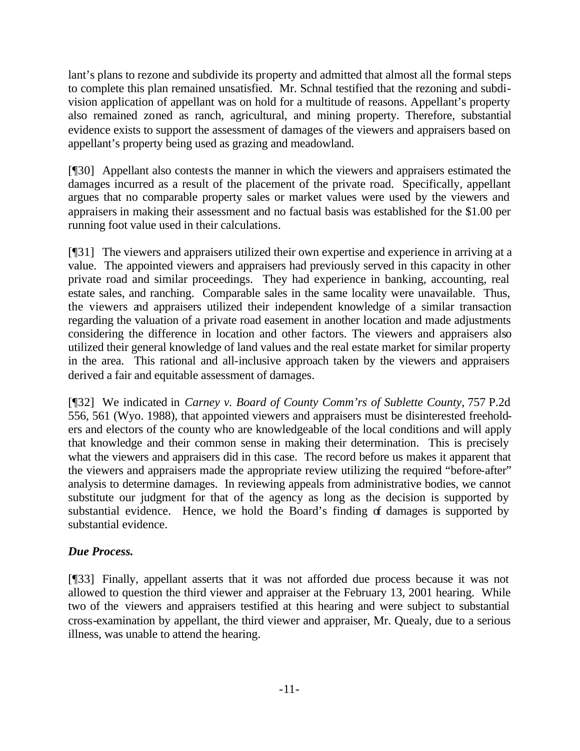lant's plans to rezone and subdivide its property and admitted that almost all the formal steps to complete this plan remained unsatisfied. Mr. Schnal testified that the rezoning and subdivision application of appellant was on hold for a multitude of reasons. Appellant's property also remained zoned as ranch, agricultural, and mining property. Therefore, substantial evidence exists to support the assessment of damages of the viewers and appraisers based on appellant's property being used as grazing and meadowland.

[¶30] Appellant also contests the manner in which the viewers and appraisers estimated the damages incurred as a result of the placement of the private road. Specifically, appellant argues that no comparable property sales or market values were used by the viewers and appraisers in making their assessment and no factual basis was established for the \$1.00 per running foot value used in their calculations.

[¶31] The viewers and appraisers utilized their own expertise and experience in arriving at a value. The appointed viewers and appraisers had previously served in this capacity in other private road and similar proceedings. They had experience in banking, accounting, real estate sales, and ranching. Comparable sales in the same locality were unavailable. Thus, the viewers and appraisers utilized their independent knowledge of a similar transaction regarding the valuation of a private road easement in another location and made adjustments considering the difference in location and other factors. The viewers and appraisers also utilized their general knowledge of land values and the real estate market for similar property in the area. This rational and all-inclusive approach taken by the viewers and appraisers derived a fair and equitable assessment of damages.

[¶32] We indicated in *Carney v. Board of County Comm'rs of Sublette County*, 757 P.2d 556, 561 (Wyo. 1988), that appointed viewers and appraisers must be disinterested freeholders and electors of the county who are knowledgeable of the local conditions and will apply that knowledge and their common sense in making their determination. This is precisely what the viewers and appraisers did in this case. The record before us makes it apparent that the viewers and appraisers made the appropriate review utilizing the required "before-after" analysis to determine damages. In reviewing appeals from administrative bodies, we cannot substitute our judgment for that of the agency as long as the decision is supported by substantial evidence. Hence, we hold the Board's finding of damages is supported by substantial evidence.

# *Due Process.*

[¶33] Finally, appellant asserts that it was not afforded due process because it was not allowed to question the third viewer and appraiser at the February 13, 2001 hearing. While two of the viewers and appraisers testified at this hearing and were subject to substantial cross-examination by appellant, the third viewer and appraiser, Mr. Quealy, due to a serious illness, was unable to attend the hearing.